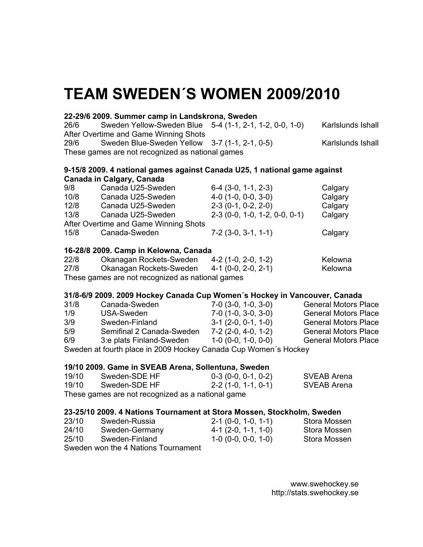# **TEAM SWEDEN´S WOMEN 2009/2010**

#### **22-29/6 2009. Summer camp in Landskrona, Sweden**

26/6 Sweden Yellow-Sweden Blue 5-4 (1-1, 2-1, 1-2, 0-0, 1-0) Karlslunds Ishall After Overtime and Game Winning Shots 29/6 Sweden Blue-Sweden Yellow 3-7 (1-1, 2-1, 0-5) Karlslunds Ishall These games are not recognized as national games

#### **9-15/8 2009. 4 national games against Canada U25, 1 national game against Canada in Calgary, Canada**

| 9/8  | Canada U25-Sweden                     | $6-4$ $(3-0, 1-1, 2-3)$         | Calgary |
|------|---------------------------------------|---------------------------------|---------|
| 10/8 | Canada U25-Sweden                     | $4-0$ (1-0, 0-0, 3-0)           | Calgary |
| 12/8 | Canada U25-Sweden                     | $2-3(0-1, 0-2, 2-0)$            | Calgary |
| 13/8 | Canada U25-Sweden                     | $2-3$ (0-0, 1-0, 1-2, 0-0, 0-1) | Calgary |
|      | After Overtime and Game Winning Shots |                                 |         |
| 15/8 | Canada-Sweden                         | $7-2$ (3-0, 3-1, 1-1)           | Calgary |
|      |                                       |                                 |         |

# **16-28/8 2009. Camp in Kelowna, Canada**

| 22/8 | Okanagan Rockets-Sweden                          | 4-2 (1-0, 2-0, 1-2) | Kelowna |
|------|--------------------------------------------------|---------------------|---------|
| 27/8 | Okanagan Rockets-Sweden                          | 4-1 (0-0, 2-0, 2-1) | Kelowna |
|      | These games are not recognized as national games |                     |         |

### **31/8-6/9 2009. 2009 Hockey Canada Cup Women´s Hockey in Vancouver, Canada**

| 31/8                                                            | Canada-Sweden             | $7-0$ (3-0, 1-0, 3-0) | <b>General Motors Place</b> |  |
|-----------------------------------------------------------------|---------------------------|-----------------------|-----------------------------|--|
| 1/9                                                             | USA-Sweden                | $7-0$ (1-0, 3-0, 3-0) | <b>General Motors Place</b> |  |
| 3/9                                                             | Sweden-Finland            | $3-1$ (2-0, 0-1, 1-0) | <b>General Motors Place</b> |  |
| 5/9                                                             | Semifinal 2 Canada-Sweden | $7-2(2-0, 4-0, 1-2)$  | <b>General Motors Place</b> |  |
| 6/9                                                             | 3:e plats Finland-Sweden  | $1-0$ (0-0, 1-0, 0-0) | <b>General Motors Place</b> |  |
| Sweden at fourth place in 2009 Hockey Canada Cup Women's Hockey |                           |                       |                             |  |

#### **19/10 2009. Game in SVEAB Arena, Sollentuna, Sweden**

| 19/10 | Sweden-SDE HF                                     | 0-3 (0-0, 0-1, 0-2)  | SVEAB Arena |
|-------|---------------------------------------------------|----------------------|-------------|
| 19/10 | Sweden-SDE HF                                     | $2-2(1-0, 1-1, 0-1)$ | SVEAB Arena |
|       | These games are not recognized as a national game |                      |             |

#### **23-25/10 2009. 4 Nations Tournament at Stora Mossen, Stockholm, Sweden**

| 23/10 | Sweden-Russia  | $2-1$ (0-0, 1-0, 1-1) | Stora Mossen |
|-------|----------------|-----------------------|--------------|
| 24/10 | Sweden-Germany | $4-1$ (2-0, 1-1, 1-0) | Stora Mossen |
| 25/10 | Sweden-Finland | $1-0$ (0-0, 0-0, 1-0) | Stora Mossen |
|       |                |                       |              |

Sweden won the 4 Nations Tournament

www.swehockey.se http://stats.swehockey.se